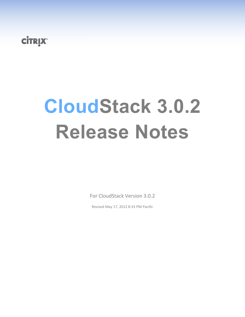# **CİTRIX**

# **CloudStack 3.0.2 Release Notes**

For CloudStack Version 3.0.2

Revised May 17, 2012 8:33 PM Pacific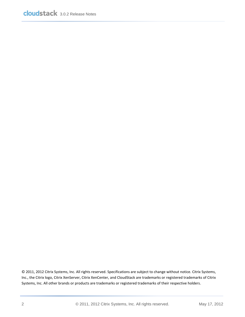© 2011, 2012 Citrix Systems, Inc. All rights reserved. Specifications are subject to change without notice. Citrix Systems, Inc., the Citrix logo, Citrix XenServer, Citrix XenCenter, and CloudStack are trademarks or registered trademarks of Citrix Systems, Inc. All other brands or products are trademarks or registered trademarks of their respective holders.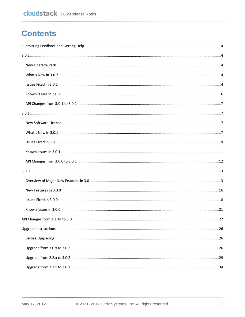# **Contents**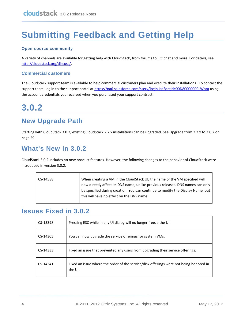# <span id="page-3-0"></span>**Submitting Feedback and Getting Help**

#### **Open-source community**

A variety of channels are available for getting help with CloudStack, from forums to IRC chat and more. For details, see [http://cloudstack.org/discuss/.](http://cloudstack.org/discuss/)

#### **Commercial customers**

The CloudStack support team is available to help commercial customers plan and execute their installations. To contact the support team, log in to the support portal at<https://na6.salesforce.com/sserv/login.jsp?orgId=00D80000000LWom> using the account credentials you received when you purchased your support contract.

# <span id="page-3-1"></span>**3.0.2**

### <span id="page-3-2"></span>**New Upgrade Path**

Starting with CloudStack 3.0.2, existing CloudStack 2.2.x installations can be upgraded. See [Upgrade from 2.2.x](#page-28-0) to 3.0.2 on page [29.](#page-28-0)

### <span id="page-3-3"></span>**What's New in 3.0.2**

CloudStack 3.0.2 includes no new product features. However, the following changes to the behavior of CloudStack were introduced in version 3.0.2.

| CS-14588 | When creating a VM in the CloudStack UI, the name of the VM specified will     |
|----------|--------------------------------------------------------------------------------|
|          | now directly affect its DNS name, unlike previous releases. DNS names can only |
|          | be specified during creation. You can continue to modify the Display Name, but |
|          | this will have no effect on the DNS name.                                      |
|          |                                                                                |

### <span id="page-3-4"></span>**Issues Fixed in 3.0.2**

| CS-13398 | Pressing ESC while in any UI dialog will no longer freeze the UI                                  |
|----------|---------------------------------------------------------------------------------------------------|
| CS-14305 | You can now upgrade the service offerings for system VMs.                                         |
| CS-14333 | Fixed an issue that prevented any users from upgrading their service offerings.                   |
| CS-14341 | Fixed an issue where the order of the service/disk offerings were not being honored in<br>the UI. |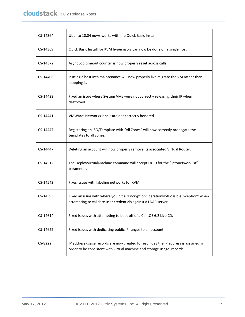| CS-14364 | Ubuntu 10.04 nows works with the Quick Basic Install.                                                                                                          |
|----------|----------------------------------------------------------------------------------------------------------------------------------------------------------------|
| CS-14369 | Quick Basic Install for KVM hypervisors can now be done on a single host.                                                                                      |
| CS-14372 | Async Job timeout counter is now properly reset across calls.                                                                                                  |
| CS-14406 | Putting a host into maintenance will now properly live migrate the VM rather than<br>stopping it.                                                              |
| CS-14433 | Fixed an issue where System VMs were not correctly releasing their IP when<br>destroyed.                                                                       |
| CS-14441 | VMWare: Networks labels are not correctly honored.                                                                                                             |
| CS-14447 | Registering an ISO/Template with "All Zones" will now correctly propagate the<br>templates to all zones.                                                       |
| CS-14447 | Deleting an account will now properly remove its associated Virtual Router.                                                                                    |
| CS-14512 | The DeployVirtualMachine command will accept UUID for the "iptonetworklist"<br>parameter.                                                                      |
| CS-14542 | Fixes issues with labeling networks for KVM.                                                                                                                   |
| CS-14593 | Fixed an issue with where you hit a "EncryptionOperationNotPossibleException" when<br>attempting to validate user credentials against a LDAP server.           |
| CS-14614 | Fixed issues with attempting to boot off of a CentOS 6.2 Live CD.                                                                                              |
| CS-14622 | Fixed issues with dedicating public IP ranges to an account.                                                                                                   |
| CS-8222  | IP address usage records are now created for each day the IP address is assigned, in<br>order to be consistent with virtual machine and storage usage records. |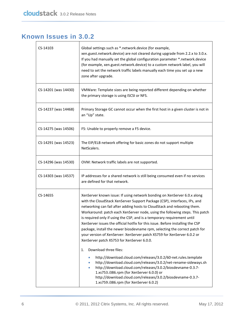# <span id="page-5-0"></span>**Known Issues in 3.0.2**

| CS-14103             | Global settings such as *.network.device (for example,<br>xen.guest.network.device) are not cleared during upgrade from 2.2.x to 3.0.x.<br>If you had manually set the global configuration parameter *.network.device<br>(for example, xen.guest.network.device) to a custom network label, you will<br>need to set the network traffic labels manually each time you set up a new<br>zone after upgrade.                                                                                                                                                                                                                                                                                                                                                                                                                                                                                                                                                                                                                                                                                                     |
|----------------------|----------------------------------------------------------------------------------------------------------------------------------------------------------------------------------------------------------------------------------------------------------------------------------------------------------------------------------------------------------------------------------------------------------------------------------------------------------------------------------------------------------------------------------------------------------------------------------------------------------------------------------------------------------------------------------------------------------------------------------------------------------------------------------------------------------------------------------------------------------------------------------------------------------------------------------------------------------------------------------------------------------------------------------------------------------------------------------------------------------------|
| CS-14201 (was 14430) | VMWare: Template sizes are being reported different depending on whether<br>the primary storage is using ISCSI or NFS.                                                                                                                                                                                                                                                                                                                                                                                                                                                                                                                                                                                                                                                                                                                                                                                                                                                                                                                                                                                         |
| CS-14237 (was 14468) | Primary Storage GC cannot occur when the first host in a given cluster is not in<br>an "Up" state.                                                                                                                                                                                                                                                                                                                                                                                                                                                                                                                                                                                                                                                                                                                                                                                                                                                                                                                                                                                                             |
| CS-14275 (was 14506) | F5: Unable to properly remove a F5 device.                                                                                                                                                                                                                                                                                                                                                                                                                                                                                                                                                                                                                                                                                                                                                                                                                                                                                                                                                                                                                                                                     |
| CS-14291 (was 14523) | The EIP/ELB network offering for basic zones do not support multiple<br>NetScalers.                                                                                                                                                                                                                                                                                                                                                                                                                                                                                                                                                                                                                                                                                                                                                                                                                                                                                                                                                                                                                            |
| CS-14296 (was 14530) | OVM: Network traffic labels are not supported.                                                                                                                                                                                                                                                                                                                                                                                                                                                                                                                                                                                                                                                                                                                                                                                                                                                                                                                                                                                                                                                                 |
| CS-14303 (was 14537) | IP addresses for a shared network is still being consumed even if no services<br>are defined for that network.                                                                                                                                                                                                                                                                                                                                                                                                                                                                                                                                                                                                                                                                                                                                                                                                                                                                                                                                                                                                 |
| CS-14655             | XenServer known issue: If using network bonding on XenServer 6.0.x along<br>with the CloudStack XenServer Support Package (CSP), interfaces, IPs, and<br>networking can fail after adding hosts to CloudStack and rebooting them.<br>Workaround: patch each XenServer node, using the following steps. This patch<br>is required only if using the CSP, and is a temporary requirement until<br>XenServer issues the official hotfix for this issue. Before installing the CSP<br>package, install the newer biosdevname rpm, selecting the correct patch for<br>your version of XenServer: XenServer patch XS759 for XenServer 6.0.2 or<br>XenServer patch XS753 for XenServer 6.0.0.<br>Download three files:<br>1.<br>http://download.cloud.com/releases/3.0.2/60-net.rules.template<br>$\bullet$<br>http://download.cloud.com/releases/3.0.2/net-rename-sideways.sh<br>$\bullet$<br>http://download.cloud.com/releases/3.0.2/biosdevname-0.3.7-<br>۰<br>1.xs753.i386.rpm (for XenServer 6.0.0) or<br>http://download.cloud.com/releases/3.0.2/biosdevname-0.3.7-<br>1.xs759.i386.rpm (for XenServer 6.0.2) |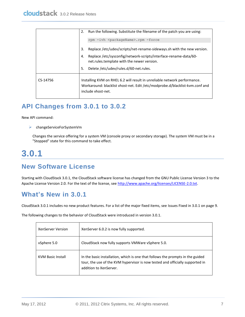|          |    | 2. Run the following. Substitute the filename of the patch you are using:                                                                                                       |
|----------|----|---------------------------------------------------------------------------------------------------------------------------------------------------------------------------------|
|          |    | rpm -ivh <packagename>.rpm -force</packagename>                                                                                                                                 |
|          | 3. | Replace /etc/udev/scripts/net-rename-sideways.sh with the new version.                                                                                                          |
|          | 4. | Replace /etc/sysconfig/network-scripts/interface-rename-data/60-<br>net.rules.template with the newer version.                                                                  |
|          | 5. | Delete /etc/udev/rules.d/60-net.rules.                                                                                                                                          |
| CS-14756 |    | Installing KVM on RHEL 6.2 will result in unreliable network performance.<br>Workaround: blacklist vhost-net. Edit /etc/modprobe.d/blacklist-kym.conf and<br>include vhost-net. |

# <span id="page-6-0"></span>**API Changes from 3.0.1 to 3.0.2**

New API command:

changeServiceForSystemVm

Changes the service offering for a system VM (console proxy or secondary storage). The system VM must be in a "Stopped" state for this command to take effect.

# <span id="page-6-1"></span>**3.0.1**

### <span id="page-6-2"></span>**New Software License**

Starting with CloudStack 3.0.1, the CloudStack software license has changed from the GNU Public License Version 3 to the Apache License Version 2.0. For the text of the license, see [http://www.apache.org/licenses/LICENSE-2.0.txt.](http://www.apache.org/licenses/LICENSE-2.0.txt)

### <span id="page-6-3"></span>**What's New in 3.0.1**

CloudStack 3.0.1 includes no new product features. For a list of the major fixed items, see [Issues Fixed in 3.0.1](#page-8-0) on pag[e 9.](#page-8-0)

The following changes to the behavior of CloudStack were introduced in version 3.0.1.

| XenServer Version | XenServer 6.0.2 is now fully supported.                                                                                                                                                   |
|-------------------|-------------------------------------------------------------------------------------------------------------------------------------------------------------------------------------------|
| vSphere 5.0       | CloudStack now fully supports VMWare vSphere 5.0.                                                                                                                                         |
| KVM Basic Install | In the basic installation, which is one that follows the prompts in the guided<br>tour, the use of the KVM hypervisor is now tested and officially supported in<br>addition to XenServer. |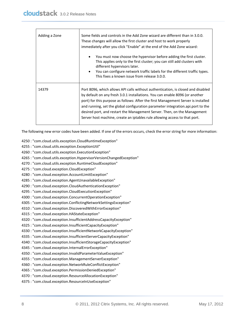| Adding a Zone | Some fields and controls in the Add Zone wizard are different than in 3.0.0.<br>These changes will allow the first cluster and host to work properly<br>immediately after you click "Enable" at the end of the Add Zone wizard:<br>You must now choose the hypervisor before adding the first cluster.<br>$\bullet$<br>This applies only to the first cluster; you can still add clusters with<br>different hypervisors later.<br>You can configure network traffic labels for the different traffic types.<br>$\bullet$<br>This fixes a known issue from release 3.0.0. |
|---------------|--------------------------------------------------------------------------------------------------------------------------------------------------------------------------------------------------------------------------------------------------------------------------------------------------------------------------------------------------------------------------------------------------------------------------------------------------------------------------------------------------------------------------------------------------------------------------|
| 14379         | Port 8096, which allows API calls without authentication, is closed and disabled<br>by default on any fresh 3.0.1 installations. You can enable 8096 (or another<br>port) for this purpose as follows: After the first Management Server is installed<br>and running, set the global configuration parameter integration.api.port to the<br>desired port, and restart the Management Server. Then, on the Management<br>Server host machine, create an iptables rule allowing access to that port.                                                                       |

The following new error codes have been added. If one of the errors occurs, check the error string for more information:

- 4250 : "com.cloud.utils.exception.CloudRuntimeException"
- 4255 : "com.cloud.utils.exception.ExceptionUtil"
- 4260 : "com.cloud.utils.exception.ExecutionException"
- 4265 : "com.cloud.utils.exception.HypervisorVersionChangedException"
- 4270 : "com.cloud.utils.exception.RuntimeCloudException"
- 4275 : "com.cloud.exception.CloudException"
- 4280 : "com.cloud.exception.AccountLimitException"
- 4285 : "com.cloud.exception.AgentUnavailableException"
- 4290 : "com.cloud.exception.CloudAuthenticationException"
- 4295 : "com.cloud.exception.CloudExecutionException"
- 4300 : "com.cloud.exception.ConcurrentOperationException"
- 4305 : "com.cloud.exception.ConflictingNetworkSettingsException"
- 4310 : "com.cloud.exception.DiscoveredWithErrorException"
- 4315 : "com.cloud.exception.HAStateException"
- 4320 : "com.cloud.exception.InsufficientAddressCapacityException"
- 4325 : "com.cloud.exception.InsufficientCapacityException"
- 4330 : "com.cloud.exception.InsufficientNetworkCapacityException"
- 4335 : "com.cloud.exception.InsufficientServerCapacityException"
- 4340 : "com.cloud.exception.InsufficientStorageCapacityException"
- 4345 : "com.cloud.exception.InternalErrorException"
- 4350 : "com.cloud.exception.InvalidParameterValueException"
- 4355 : "com.cloud.exception.ManagementServerException"
- 4360 : "com.cloud.exception.NetworkRuleConflictException"
- 4365 : "com.cloud.exception.PermissionDeniedException"
- 4370 : "com.cloud.exception.ResourceAllocationException"
- 4375 : "com.cloud.exception.ResourceInUseException"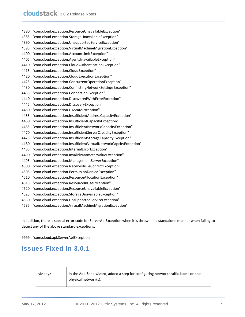4380 : "com.cloud.exception.ResourceUnavailableException" 4385 : "com.cloud.exception.StorageUnavailableException" 4390 : "com.cloud.exception.UnsupportedServiceException" 4395 : "com.cloud.exception.VirtualMachineMigrationException" 4400 : "com.cloud.exception.AccountLimitException" 4405 : "com.cloud.exception.AgentUnavailableException" 4410 : "com.cloud.exception.CloudAuthenticationException" 4415 : "com.cloud.exception.CloudException" 4420 : "com.cloud.exception.CloudExecutionException" 4425 : "com.cloud.exception.ConcurrentOperationException" 4430 : "com.cloud.exception.ConflictingNetworkSettingsException" 4435 : "com.cloud.exception.ConnectionException" 4440 : "com.cloud.exception.DiscoveredWithErrorException" 4445 : "com.cloud.exception.DiscoveryException" 4450 : "com.cloud.exception.HAStateException" 4455 : "com.cloud.exception.InsufficientAddressCapacityException" 4460 : "com.cloud.exception.InsufficientCapacityException" 4465 : "com.cloud.exception.InsufficientNetworkCapacityException" 4470 : "com.cloud.exception.InsufficientServerCapacityException" 4475 : "com.cloud.exception.InsufficientStorageCapacityException" 4480 : "com.cloud.exception.InsufficientVirtualNetworkCapcityException" 4485 : "com.cloud.exception.InternalErrorException" 4490 : "com.cloud.exception.InvalidParameterValueException" 4495 : "com.cloud.exception.ManagementServerException" 4500 : "com.cloud.exception.NetworkRuleConflictException" 4505 : "com.cloud.exception.PermissionDeniedException" 4510 : "com.cloud.exception.ResourceAllocationException" 4515 : "com.cloud.exception.ResourceInUseException" 4520 : "com.cloud.exception.ResourceUnavailableException" 4525 : "com.cloud.exception.StorageUnavailableException" 4530 : "com.cloud.exception.UnsupportedServiceException"

4535 : "com.cloud.exception.VirtualMachineMigrationException"

In addition, there is special error code for ServerApiException when it is thrown in a standalone manner when failing to detect any of the above standard exceptions:

9999 : "com.cloud.api.ServerApiException"

### <span id="page-8-0"></span>**Issues Fixed in 3.0.1**

| $<$ Many $>$ | In the Add Zone wizard, added a step for configuring network traffic labels on the |
|--------------|------------------------------------------------------------------------------------|
|              | physical network(s).                                                               |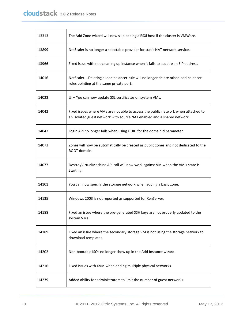| 13313 | The Add Zone wizard will now skip adding a ESXi host if the cluster is VMWare.                                                                               |
|-------|--------------------------------------------------------------------------------------------------------------------------------------------------------------|
| 13899 | NetScaler is no longer a selectable provider for static NAT network service.                                                                                 |
| 13966 | Fixed issue with not cleaning up instance when it fails to acquire an EIP address.                                                                           |
| 14016 | NetScaler - Deleting a load balancer rule will no longer delete other load balancer<br>rules pointing at the same private port.                              |
| 14023 | UI - You can now update SSL certificates on system VMs.                                                                                                      |
| 14042 | Fixed issues where VMs are not able to access the public network when attached to<br>an isolated guest network with source NAT enabled and a shared network. |
| 14047 | Login API no longer fails when using UUID for the domainId parameter.                                                                                        |
| 14073 | Zones will now be automatically be created as public zones and not dedicated to the<br>ROOT domain.                                                          |
| 14077 | DestroyVirtualMachine API call will now work against VM when the VM's state is<br>Starting.                                                                  |
| 14101 | You can now specify the storage network when adding a basic zone.                                                                                            |
| 14135 | Windows 2003 is not reported as supported for XenServer.                                                                                                     |
| 14188 | Fixed an issue where the pre-generated SSH keys are not properly updated to the<br>system VMs.                                                               |
| 14189 | Fixed an issue where the secondary storage VM is not using the storage network to<br>download templates.                                                     |
| 14202 | Non-bootable ISOs no longer show up in the Add Instance wizard.                                                                                              |
| 14216 | Fixed issues with KVM when adding multiple physical networks.                                                                                                |
| 14239 | Added ability for administrators to limit the number of guest networks.                                                                                      |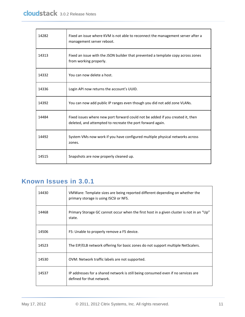| 14282 | Fixed an issue where KVM is not able to reconnect the management server after a<br>management server reboot.                                 |
|-------|----------------------------------------------------------------------------------------------------------------------------------------------|
| 14313 | Fixed an issue with the JSON builder that prevented a template copy across zones<br>from working properly.                                   |
| 14332 | You can now delete a host.                                                                                                                   |
| 14336 | Login API now returns the account's UUID.                                                                                                    |
| 14392 | You can now add public IP ranges even though you did not add zone VLANs.                                                                     |
| 14484 | Fixed issues where new port forward could not be added if you created it, then<br>deleted, and attempted to recreate the port forward again. |
| 14492 | System VMs now work if you have configured multiple physical networks across<br>zones.                                                       |
| 14515 | Snapshots are now properly cleaned up.                                                                                                       |

# <span id="page-10-0"></span>**Known Issues in 3.0.1**

| 14430 | VMWare: Template sizes are being reported different depending on whether the<br>primary storage is using ISCSI or NFS. |
|-------|------------------------------------------------------------------------------------------------------------------------|
| 14468 | Primary Storage GC cannot occur when the first host in a given cluster is not in an "Up"<br>state.                     |
| 14506 | F5: Unable to properly remove a F5 device.                                                                             |
| 14523 | The EIP/ELB network offering for basic zones do not support multiple NetScalers.                                       |
| 14530 | OVM: Network traffic labels are not supported.                                                                         |
| 14537 | IP addresses for a shared network is still being consumed even if no services are<br>defined for that network.         |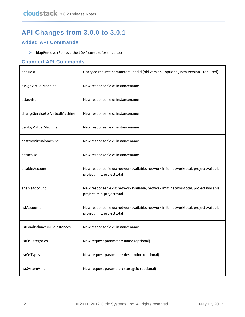# <span id="page-11-0"></span>**API Changes from 3.0.0 to 3.0.1**

#### **Added API Commands**

ldapRemove (Remove the LDAP context for this site.)

#### **Changed API Commands**

| addHost                        | Changed request parameters: podid (old version - optional, new version - required)                                 |
|--------------------------------|--------------------------------------------------------------------------------------------------------------------|
| assignVirtualMachine           | New response field: instancename                                                                                   |
| attachiso                      | New response field: instancename                                                                                   |
| changeServiceForVirtualMachine | New response field: instancename                                                                                   |
| deployVirtualMachine           | New response field: instancename                                                                                   |
| destroyVirtualMachine          | New response field: instancename                                                                                   |
| detachiso                      | New response field: instancename                                                                                   |
| disableAccount                 | New response fields: networkavailable, networklimit, networktotal, projectavailable,<br>projectlimit, projecttotal |
| enableAccount                  | New response fields: networkavailable, networklimit, networktotal, projectavailable,<br>projectlimit, projecttotal |
| listAccounts                   | New response fields: networkavailable, networklimit, networktotal, projectavailable,<br>projectlimit, projecttotal |
| listLoadBalancerRuleInstances  | New response field: instancename                                                                                   |
| listOsCategories               | New request parameter: name (optional)                                                                             |
| listOsTypes                    | New request parameter: description (optional)                                                                      |
| listSystemVms                  | New request parameter: storageid (optional)                                                                        |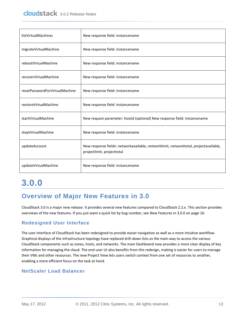| listVirtualMachines            | New response field: instancename                                                                                   |
|--------------------------------|--------------------------------------------------------------------------------------------------------------------|
| migrateVirtualMachine          | New response field: instancename                                                                                   |
| rebootVirtualMachine           | New response field: instancename                                                                                   |
| recoverVirtualMachine          | New response field: instancename                                                                                   |
| resetPasswordForVirtualMachine | New response field: instancename                                                                                   |
| restoreVirtualMachine          | New response field: instancename                                                                                   |
| startVirtualMachine            | New request parameter: hostid (optional) New response field: instancename                                          |
| stopVirtualMachine             | New response field: instancename                                                                                   |
| updateAccount                  | New response fields: networkavailable, networklimit, networktotal, projectavailable,<br>projectlimit, projecttotal |
| updateVirtualMachine           | New response field: instancename                                                                                   |

# <span id="page-12-0"></span>**3.0.0**

# <span id="page-12-1"></span>**Overview of Major New Features in 3.0**

CloudStack 3.0 is a major new release. It provides several new features compared to CloudStack 2.2.x. This section provides overviews of the new features. If you just want a quick list by bug number, se[e New Features in 3.0.0](#page-15-0) on page [16.](#page-15-0)

#### **Redesigned User Interface**

The user interface of CloudStack has been redesigned to provide easier navigation as well as a more intuitive workflow. Graphical displays of the infrastructure topology have replaced drill-down lists as the main way to access the various CloudStack components such as zones, hosts, and networks. The main Dashboard now provides a more clear display of key information for managing the cloud. The end-user UI also benefits from this redesign, making is easier for users to manage their VMs and other resources. The new Project View lets users switch context from one set of resources to another, enabling a more efficient focus on the task at hand.

#### **NetScaler Load Balancer**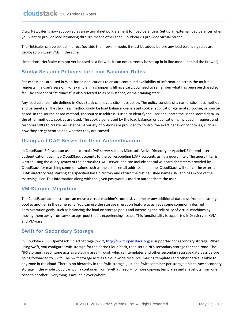Citrix NetScaler is now supported as an external network element for load balancing. Set up an external load balancer when you want to provide load balancing through means other than CloudStack's provided virtual router.

The NetScaler can be set up in direct (outside the firewall) mode. It must be added before any load balancing rules are deployed on guest VMs in the zone.

Limitations: NetScaler can not yet be used as a firewall. It can not currently be set up in in-line mode (behind the firewall).

#### **Sticky Session Policies for Load Balancer Rules**

Sticky sessions are used in Web-based applications to ensure continued availability of information across the multiple requests in a user's session. For example, if a shopper is filling a cart, you need to remember what has been purchased so far. The concept of "stickiness" is also referred to as persistence, or maintaining state.

Any load balancer rule defined in CloudStack can have a stickiness policy. The policy consists of a name, stickiness method, and parameters. The stickiness method could be load balancer-generated cookie, application-generated cookie, or sourcebased. In the source-based method, the source IP address is used to identify the user and locate the user's stored data. In the other methods, cookies are used. The cookie generated by the load balancer or application is included in request and response URLs to create persistence. A variety of options are provided to control the exact behavior of cookies, such as how they are generated and whether they are cached.

#### **Using an LDAP Server for User Authentication**

In CloudStack 3.0, you can use an external LDAP server such as Microsoft Active Directory or ApacheDS for end-user authentication. Just map CloudStack accounts to the corresponding LDAP accounts using a query filter. The query filter is written using the query syntax of the particular LDAP server, and can include special wildcard characters provided by CloudStack for matching common values such as the user's email address and name. CloudStack will search the external LDAP directory tree starting at a specified base directory and return the distinguished name (DN) and password of the matching user. This information along with the given password is used to authenticate the user.

#### **VM Storage Migration**

The CloudStack administrator can move a virtual machine's root disk volume or any additional data disk from one storage pool to another in the same zone. You can use the storage migration feature to achieve some commonly desired administration goals, such as balancing the load on storage pools and increasing the reliability of virtual machines by moving them away from any storage pool that is experiencing issues. This functionality is supported in XenServer, KVM, and VMware.

#### **Swift for Secondary Storage**

In CloudStack 3.0, OpenStack Object Storage (Swift, [http://swift.openstack.org\)](http://swift.openstack.org/) is supported for secondary storage. When using Swift, you configure Swift storage for the entire CloudStack, then set up NFS secondary storage for each zone. The NFS storage in each zone acts as a staging area through which all templates and other secondary storage data pass before being forwarded to Swift. The Swift storage acts as a cloud-wide resource, making templates and other data available to any zone in the cloud. There is no hierarchy in the Swift storage, just one Swift container per storage object. Any secondary storage in the whole cloud can pull a container from Swift at need – no more copying templates and snapshots from one zone to another. Everything is available everywhere.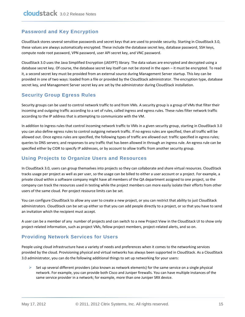#### <span id="page-14-0"></span>**Password and Key Encryption**

CloudStack stores several sensitive passwords and secret keys that are used to provide security. Starting in CloudStack 3.0, these values are always automatically encrypted. These include the database secret key, database password, SSH keys, compute node root password, VPN password, user API secret key, and VNC password.

CloudStack 3.0 uses the Java Simplified Encryption (JASYPT) library. The data values are encrypted and decrypted using a database secret key. Of course, the database secret key itself can not be stored in the open – it must be encrypted. To read it, a second secret key must be provided from an external source during Management Server startup. This key can be provided in one of two ways: loaded from a file or provided by the CloudStack administrator. The encryption type, database secret key, and Management Server secret key are set by the administrator during CloudStack installation.

#### **Security Group Egress Rules**

Security groups can be used to control network traffic to and from VMs. A security group is a group of VMs that filter their incoming and outgoing traffic according to a set of rules, called ingress and egress rules. These rules filter network traffic according to the IP address that is attempting to communicate with the VM.

In addition to ingress rules that control incoming network traffic to VMs in a given security group, starting in CloudStack 3.0 you can also define egress rules to control outgoing network traffic. If no egress rules are specified, then all traffic will be allowed out. Once egress rules are specified, the following types of traffic are allowed out: traffic specified in egress rules; queries to DNS servers; and responses to any traffic that has been allowed in through an ingress rule. An egress rule can be specified either by CIDR to specify IP addresses, or by account to allow traffic from another security group.

#### **Using Projects to Organize Users and Resources**

In CloudStack 3.0, users can group themselves into projects so they can collaborate and share virtual resources. CloudStack tracks usage per project as well as per user, so the usage can be billed to either a user account or a project. For example, a private cloud within a software company might have all members of the QA department assigned to one project, so the company can track the resources used in testing while the project members can more easily isolate their efforts from other users of the same cloud. Per-project resource limits can be set.

You can configure CloudStack to allow any user to create a new project, or you can restrict that ability to just CloudStack administrators. CloudStack can be set up either so that you can add people directly to a project, or so that you have to send an invitation which the recipient must accept.

A user can be a member of any number of projects and can switch to a new Project View in the CloudStack UI to show only project-related information, such as project VMs, fellow project members, project-related alerts, and so on.

#### **Providing Network Services for Users**

People using cloud infrastructure have a variety of needs and preferences when it comes to the networking services provided by the cloud. Provisioning physical and virtual networks has always been supported in CloudStack. As a CloudStack 3.0 administrator, you can do the following additional things to set up networking for your users:

 $\triangleright$  Set up several different providers (also known as network elements) for the same service on a single physical network. For example, you can provide both Cisco and Juniper firewalls. You can have multiple instances of the same service provider in a network; for example, more than one Juniper SRX device.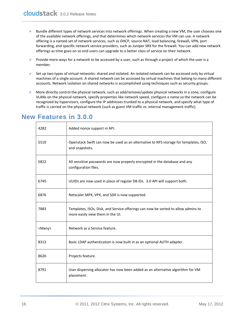- $\triangleright$  Bundle different types of network services into network offerings. When creating a new VM, the user chooses one of the available network offerings, and that determines which network services the VM can use. A network offering is a named set of network services, such as DHCP, source NAT, load balancing, firewall, VPN, port forwarding, and specific network service providers, such as Juniper SRX for the firewall. You can add new network offerings as time goes on so end users can upgrade to a better class of service on their network.
- Provide more ways for a network to be accessed by a user, such as through a project of which the user is a member.
- $\triangleright$  Set up two types of virtual networks: shared and isolated. An isolated network can be accessed only by virtual machines of a single account. A shared network can be accessed by virtual machines that belong to many different accounts. Network isolation on shared networks is accomplished using techniques such as security groups.
- $\triangleright$  More directly control the physical network, such as add/remove/update physical networks in a zone, configure VLANs on the physical network, specify properties like network speed, configure a name so the network can be recognized by hypervisors, configure the IP addresses trunked to a physical network, and specify what type of traffic is carried on the physical network (such as guest VM traffic vs. internal management traffic).

| 4282          | Added nonce support in API.                                                                                           |
|---------------|-----------------------------------------------------------------------------------------------------------------------|
| 5510          | Openstack Swift can now be used as an alternative to NFS storage for templates, ISO,<br>and snapshots.                |
| 5822          | All sensitive passwords are now properly encrypted in the database and any<br>configuration files.                    |
| 6745          | UUIDs are now used in place of regular DB IDs. 3.0 API will support both.                                             |
| 6876          | Netscaler MPX, VPX, and SDX is now supported.                                                                         |
| 7883          | Templates, ISOs, Disk, and Service offerings can now be sorted to allow admins to<br>more easily view them in the UI. |
| <many></many> | Network as a Service feature.                                                                                         |
| 8313          | Basic LDAP authentication is now built in as an optional AUTH adapter.                                                |
| 8620          | Projects feature.                                                                                                     |
| 8791          | User dispersing allocator has now been added as an alternative algorithm for VM<br>placement.                         |

### <span id="page-15-0"></span>**New Features in 3.0.0**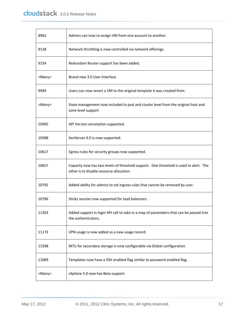| 8962          | Admins can now re-assign VM from one account to another.                                                                          |
|---------------|-----------------------------------------------------------------------------------------------------------------------------------|
| 9128          | Network throttling is now controlled via network offerings.                                                                       |
| 9154          | Redundant Router support has been added.                                                                                          |
| <many></many> | Brand new 3.0 User Interface                                                                                                      |
| 9949          | Users can now revert a VM to the original template it was created from.                                                           |
| <many></many> | State management now included to pod and cluster level from the original host and<br>zone level support.                          |
| 10405         | API Version annotation supported.                                                                                                 |
| 10588         | XenServer 6.0 is now supported.                                                                                                   |
| 10617         | Egress rules for security groups now supported.                                                                                   |
| 10657         | Capacity now has two levels of threshold support. One threshold is used to alert. The<br>other is to disable resource allocation. |
| 10792         | Added ability for admins to set ingress rules that cannot be removed by user.                                                     |
| 10796         | Sticky session now supported for load balancers.                                                                                  |
| 11303         | Added support in login API call to take in a map of parameters that can be passed into<br>the authenticators.                     |
| 11173         | VPN usage is now added as a new usage record.                                                                                     |
| 11598         | MTU for secondary storage is now configurable via Global configuration.                                                           |
| 11689         | Templates now have a SSH enabled flag similar to password enabled flag.                                                           |
| <many></many> | vSphere 5.0 now has Beta support.                                                                                                 |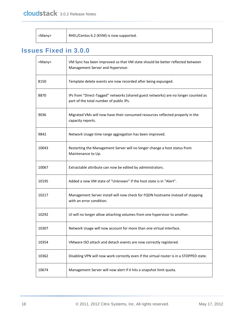| <manv></manv> | RHEL/Centos 6.2 (KVM) is now supported. |
|---------------|-----------------------------------------|
|               |                                         |

# <span id="page-17-0"></span>**Issues Fixed in 3.0.0**

| <many></many> | VM Sync has been improved so that VM state should be better reflected between<br>Management Server and Hypervisor.            |
|---------------|-------------------------------------------------------------------------------------------------------------------------------|
| 8150          | Template delete events are now recorded after being expunged.                                                                 |
| 8870          | IPs from "Direct-Tagged" networks (shared guest networks) are no longer counted as<br>part of the total number of public IPs. |
| 9036          | Migrated VMs will now have their consumed resources reflected properly in the<br>capacity reports.                            |
| 9842          | Network Usage time range aggregation has been improved.                                                                       |
| 10043         | Restarting the Management Server will no longer change a host status from<br>Maintenance to Up.                               |
| 10067         | Extractable attribute can now be edited by administrators.                                                                    |
| 10195         | Added a new VM state of "Unknown" if the host state is in "Alert".                                                            |
| 10217         | Management Server install will now check for FQDN hostname instead of stopping<br>with an error condition.                    |
| 10292         | UI will no longer allow attaching volumes from one hypervisor to another.                                                     |
| 10307         | Network Usage will now account for more than one virtual interface.                                                           |
| 10354         | VMware ISO attach and detach events are now correctly registered.                                                             |
| 10362         | Disabling VPN will now work correctly even if the virtual router is in a STOPPED state.                                       |
| 10674         | Management Server will now alert if it hits a snapshot limit quota.                                                           |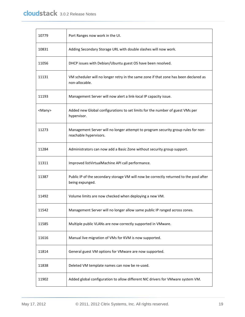| 10779         | Port Ranges now work in the UI.                                                                             |
|---------------|-------------------------------------------------------------------------------------------------------------|
| 10831         | Adding Secondary Storage URL with double slashes will now work.                                             |
| 11056         | DHCP issues with Debian/Ubuntu guest OS have been resolved.                                                 |
| 11131         | VM scheduler will no longer retry in the same zone if that zone has been declared as<br>non-allocable.      |
| 11193         | Management Server will now alert a link-local IP capacity issue.                                            |
| <many></many> | Added new Global configurations to set limits for the number of guest VMs per<br>hypervisor.                |
| 11273         | Management Server will no longer attempt to program security group rules for non-<br>reachable hypervisors. |
| 11284         | Administrators can now add a Basic Zone without security group support.                                     |
| 11311         | Improved listVirtualMachine API call performance.                                                           |
| 11387         | Public IP of the secondary storage VM will now be correctly returned to the pool after<br>being expunged.   |
| 11492         | Volume limits are now checked when deploying a new VM.                                                      |
| 11542         | Management Server will no longer allow same public IP ranged across zones.                                  |
| 11585         | Multiple public VLANs are now correctly supported in VMware.                                                |
| 11616         | Manual live migration of VMs for KVM is now supported.                                                      |
| 11814         | General guest VM options for VMware are now supported.                                                      |
| 11838         | Deleted VM template names can now be re-used.                                                               |
| 11902         | Added global configuration to allow different NIC drivers for VMware system VM.                             |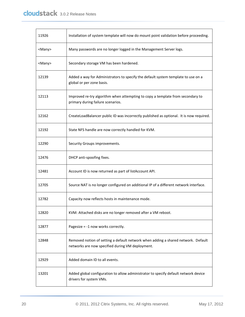| 11926         | Installation of system template will now do mount point validation before proceeding.                                                 |
|---------------|---------------------------------------------------------------------------------------------------------------------------------------|
| <many></many> | Many passwords are no longer logged in the Management Server logs.                                                                    |
| <many></many> | Secondary storage VM has been hardened.                                                                                               |
| 12139         | Added a way for Administrators to specify the default system template to use on a<br>global or per zone basis.                        |
| 12113         | Improved re-try algorithm when attempting to copy a template from secondary to<br>primary during failure scenarios.                   |
| 12162         | CreateLoadBalancer public ID was incorrectly published as optional. It is now required.                                               |
| 12192         | State NFS handle are now correctly handled for KVM.                                                                                   |
| 12290         | Security Groups improvements.                                                                                                         |
| 12476         | DHCP anti-spoofing fixes.                                                                                                             |
| 12481         | Account ID is now returned as part of listAccount API.                                                                                |
| 12705         | Source NAT is no longer configured on additional IP of a different network interface.                                                 |
| 12782         | Capacity now reflects hosts in maintenance mode.                                                                                      |
| 12820         | KVM: Attached disks are no longer removed after a VM reboot.                                                                          |
| 12877         | Pagesize = -1 now works correctly.                                                                                                    |
| 12848         | Removed notion of setting a default network when adding a shared network. Default<br>networks are now specified during VM deployment. |
| 12929         | Added domain ID to all events.                                                                                                        |
| 13201         | Added global configuration to allow administrator to specify default network device<br>drivers for system VMs.                        |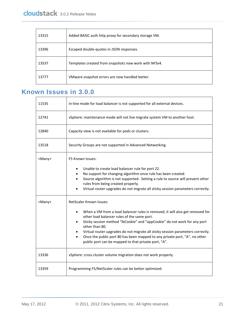| 13315 | Added BASIC auth http proxy for secondary storage VM. |
|-------|-------------------------------------------------------|
| 13396 | Escaped double-quotes in JSON responses.              |
| 13537 | Templates created from snapshots now work with NFSv4. |
| 13777 | VMware snapshot errors are now handled better.        |

#### <span id="page-20-0"></span>**Known Issues in 3.0.0**  $\blacksquare$

| 11535         | In-line mode for load balancer is not supported for all external devices.                                                                                                                                                                                                                                                                                                                                                                                                                                        |
|---------------|------------------------------------------------------------------------------------------------------------------------------------------------------------------------------------------------------------------------------------------------------------------------------------------------------------------------------------------------------------------------------------------------------------------------------------------------------------------------------------------------------------------|
| 12741         | vSphere: maintenance mode will not live migrate system VM to another host.                                                                                                                                                                                                                                                                                                                                                                                                                                       |
| 12840         | Capacity view is not available for pods or clusters.                                                                                                                                                                                                                                                                                                                                                                                                                                                             |
| 13518         | Security Groups are not supported in Advanced Networking.                                                                                                                                                                                                                                                                                                                                                                                                                                                        |
| <many></many> | F5 Known Issues:<br>Unable to create load balancer rule for port 22.<br>$\bullet$<br>No support for changing algorithm once rule has been created.<br>$\bullet$<br>Source algorithm is not supported. Setting a rule to source will prevent other<br>$\bullet$<br>rules from being created properly.<br>Virtual router upgrades do not migrate all sticky session parameters correctly.                                                                                                                          |
| <many></many> | <b>NetScaler Known Issues:</b><br>When a VM from a load balancer rules is removed, it will also get removed for<br>$\bullet$<br>other load balancer rules of the same port.<br>Sticky session method "lbCookie" and "appCookie" do not work for any port<br>$\bullet$<br>other than 80.<br>Virtual router upgrades do not migrate all sticky session parameters correctly.<br>Once the public port 80 has been mapped to any private port, "A", no other<br>public port can be mapped to that private port, "A". |
| 13336         | vSphere: cross cluster volume migration does not work properly.                                                                                                                                                                                                                                                                                                                                                                                                                                                  |
| 13359         | Programming F5/NetScaler rules can be better optimized.                                                                                                                                                                                                                                                                                                                                                                                                                                                          |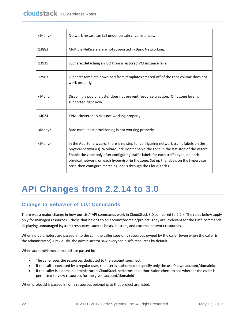| <many></many> | Network restart can fail under certain circumstances.                                                                                                                                                                                                                                                                                                                                                                                |
|---------------|--------------------------------------------------------------------------------------------------------------------------------------------------------------------------------------------------------------------------------------------------------------------------------------------------------------------------------------------------------------------------------------------------------------------------------------|
| 13883         | Multiple NetScalers are not supported in Basic Networking.                                                                                                                                                                                                                                                                                                                                                                           |
| 13935         | vSphere: detaching an ISO from a restored VM instance fails.                                                                                                                                                                                                                                                                                                                                                                         |
| 13963         | vSphere: template download from templates created off of the root volume does not<br>work properly.                                                                                                                                                                                                                                                                                                                                  |
| <many></many> | Disabling a pod or cluster does not prevent resource creation. Only zone level is<br>supported right now.                                                                                                                                                                                                                                                                                                                            |
| 14024         | KVM: clustered LVM is not working properly.                                                                                                                                                                                                                                                                                                                                                                                          |
| <many></many> | Bare metal host provisioning is not working properly.                                                                                                                                                                                                                                                                                                                                                                                |
| <many></many> | In the Add Zone wizard, there is no step for configuring network traffic labels on the<br>physical network(s). Workaround: Don't enable the zone in the last step of the wizard.<br>Enable the zone only after configuring traffic labels for each traffic type, on each<br>physical network, on each hypervisor in the zone. Set up the labels on the hypervisor<br>host, then configure matching labels through the CloudStack UI. |

# <span id="page-21-0"></span>**API Changes from 2.2.14 to 3.0**

#### **Change to Behavior of List Commands**

There was a major change in how our List\* API commands work in CloudStack 3.0 compared to 2.2.x. The rules below apply only for managed resources – those that belong to an account/domain/project. They are irrelevant for the List\* commands displaying unmanaged (system) resources, such as hosts, clusters, and external network resources.

When no parameters are passed in to the call, the caller sees only resources owned by the caller (even when the caller is the administrator). Previously, the administrator saw everyone else's resources by default.

When accountName/domainId are passed in:

- The caller sees the resources dedicated to the account specified.
- If the call is executed by a regular user, the user is authorized to specify only the user's own account/domainId.
- If the caller is a domain administrator, CloudStack performs an authorization check to see whether the caller is permitted to view resources for the given account/domainId.

When projectId is passed in, only resources belonging to that project are listed.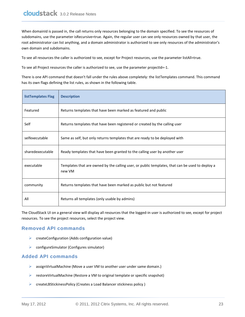When domainId is passed in, the call returns only resources belonging to the domain specified. To see the resources of subdomains, use the parameter isRecursive=true. Again, the regular user can see only resources owned by that user, the root administrator can list anything, and a domain administrator is authorized to see only resources of the administrator's own domain and subdomains.

To see all resources the caller is authorized to see, except for Project resources, use the parameter listAll=true.

To see all Project resources the caller is authorized to see, use the parameter projectId=-1.

There is one API command that doesn't fall under the rules above completely: the listTemplates command. This command has its own flags defining the list rules, as shown in the following table.

| listTemplates Flag | <b>Description</b>                                                                                        |
|--------------------|-----------------------------------------------------------------------------------------------------------|
| Featured           | Returns templates that have been marked as featured and public                                            |
| Self               | Returns templates that have been registered or created by the calling user                                |
| selfexecutable     | Same as self, but only returns templates that are ready to be deployed with                               |
| sharedexecutable   | Ready templates that have been granted to the calling user by another user                                |
| executable         | Templates that are owned by the calling user, or public templates, that can be used to deploy a<br>new VM |
| community          | Returns templates that have been marked as public but not featured                                        |
| All                | Returns all templates (only usable by admins)                                                             |

The CloudStack UI on a general view will display all resources that the logged-in user is authorized to see, except for project resources. To see the project resources, select the project view.

#### **Removed API commands**

- $\triangleright$  createConfiguration (Adds configuration value)
- configureSimulator (Configures simulator)

#### **Added API commands**

- ▶ assignVirtualMachine (Move a user VM to another user under same domain.)
- restoreVirtualMachine (Restore a VM to original template or specific snapshot)
- $\triangleright$  createLBStickinessPolicy (Creates a Load Balancer stickiness policy)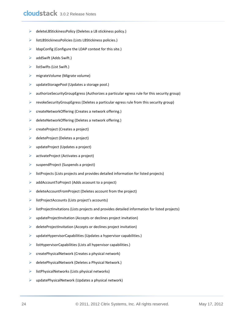- $\triangleright$  deleteLBStickinessPolicy (Deletes a LB stickiness policy.)
- $\triangleright$  listLBStickinessPolicies (Lists LBStickiness policies.)
- $\blacktriangleright$  IdapConfig (Configure the LDAP context for this site.)
- $\triangleright$  addSwift (Adds Swift.)
- $\triangleright$  listSwifts (List Swift.)
- $\triangleright$  migrateVolume (Migrate volume)
- updateStoragePool (Updates a storage pool.)
- $\triangleright$  authorizeSecurityGroupEgress (Authorizes a particular egress rule for this security group)
- $\triangleright$  revokeSecurityGroupEgress (Deletes a particular egress rule from this security group)
- **EXECUTE:** CreateNetworkOffering (Creates a network offering.)
- $\triangleright$  deleteNetworkOffering (Deletes a network offering.)
- $\triangleright$  createProject (Creates a project)
- $\triangleright$  deleteProject (Deletes a project)
- $\triangleright$  updateProject (Updates a project)
- $\triangleright$  activateProject (Activates a project)
- $\triangleright$  suspendProject (Suspends a project)
- $\triangleright$  listProjects (Lists projects and provides detailed information for listed projects)
- $\triangleright$  addAccountToProject (Adds acoount to a project)
- $\triangleright$  deleteAccountFromProject (Deletes account from the project)
- listProjectAccounts (Lists project's accounts)
- $\triangleright$  listProjectInvitations (Lists projects and provides detailed information for listed projects)
- $\triangleright$  updateProjectInvitation (Accepts or declines project invitation)
- $\triangleright$  deleteProjectInvitation (Accepts or declines project invitation)
- $\triangleright$  updateHypervisorCapabilities (Updates a hypervisor capabilities.)
- $\triangleright$  listHypervisorCapabilities (Lists all hypervisor capabilities.)
- $\triangleright$  createPhysicalNetwork (Creates a physical network)
- $\triangleright$  deletePhysicalNetwork (Deletes a Physical Network.)
- $\triangleright$  listPhysicalNetworks (Lists physical networks)
- $\triangleright$  updatePhysicalNetwork (Updates a physical network)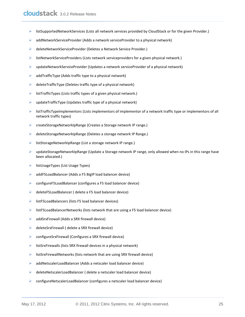- $\triangleright$  listSupportedNetworkServices (Lists all network services provided by CloudStack or for the given Provider.)
- $\triangleright$  addNetworkServiceProvider (Adds a network serviceProvider to a physical network)
- deleteNetworkServiceProvider (Deletes a Network Service Provider.)
- $\triangleright$  listNetworkServiceProviders (Lists network serviceproviders for a given physical network.)
- $\triangleright$  updateNetworkServiceProvider (Updates a network serviceProvider of a physical network)
- $\triangleright$  addTrafficType (Adds traffic type to a physical network)
- $\triangleright$  deleteTrafficType (Deletes traffic type of a physical network)
- $\triangleright$  listTrafficTypes (Lists traffic types of a given physical network.)
- $\triangleright$  updateTrafficType (Updates traffic type of a physical network)
- $\triangleright$  listTrafficTypeImplementors (Lists implementors of implementor of a network traffic type or implementors of all network traffic types)
- createStorageNetworkIpRange (Creates a Storage network IP range.)
- deleteStorageNetworkIpRange (Deletes a storage network IP Range.)
- listStorageNetworkIpRange (List a storage network IP range.)
- $\triangleright$  updateStorageNetworkIpRange (Update a Storage network IP range, only allowed when no IPs in this range have been allocated.)
- $\triangleright$  listUsageTypes (List Usage Types)
- addF5LoadBalancer (Adds a F5 BigIP load balancer device)
- configureF5LoadBalancer (configures a F5 load balancer device)
- deleteF5LoadBalancer ( delete a F5 load balancer device)
- $\triangleright$  listF5LoadBalancers (lists F5 load balancer devices)
- $\triangleright$  listF5LoadBalancerNetworks (lists network that are using a F5 load balancer device)
- $\triangleright$  addSrxFirewall (Adds a SRX firewall device)
- $\triangleright$  deleteSrxFirewall ( delete a SRX firewall device)
- $\triangleright$  configureSrxFirewall (Configures a SRX firewall device)
- $\triangleright$  listSrxFirewalls (lists SRX firewall devices in a physical network)
- $\triangleright$  listSrxFirewallNetworks (lists network that are using SRX firewall device)
- addNetscalerLoadBalancer (Adds a netscaler load balancer device)
- $\triangleright$  deleteNetscalerLoadBalancer ( delete a netscaler load balancer device)
- configureNetscalerLoadBalancer (configures a netscaler load balancer device)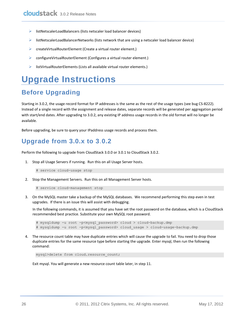- $\triangleright$  listNetscalerLoadBalancers (lists netscaler load balancer devices)
- $\triangleright$  listNetscalerLoadBalancerNetworks (lists network that are using a netscaler load balancer device)
- $\triangleright$  createVirtualRouterElement (Create a virtual router element.)
- ▶ configureVirtualRouterElement (Configures a virtual router element.)
- $\triangleright$  listVirtualRouterElements (Lists all available virtual router elements.)

# <span id="page-25-0"></span>**Upgrade Instructions**

# <span id="page-25-1"></span>**Before Upgrading**

Starting in 3.0.2, the usage record format for IP addresses is the same as the rest of the usage types (see bug CS-8222). Instead of a single record with the assignment and release dates, separate records will be generated per aggregation period with start/end dates. After upgrading to 3.0.2, any existing IP address usage records in the old format will no longer be available.

Before upgrading, be sure to query your IPaddress usage records and process them.

## <span id="page-25-2"></span>**Upgrade from 3.0.x to 3**.**0.2**

Perform the following to upgrade from CloudStack 3.0.0 or 3.0.1 to CloudStack 3.0.2.

1. Stop all Usage Servers if running. Run this on all Usage Server hosts.

# service cloud-usage stop

2. Stop the Management Servers. Run this on all Management Server hosts.

# service cloud-management stop

3. On the MySQL master take a backup of the MySQL databases. We recommend performing this step even in test upgrades. If there is an issue this will assist with debugging.

In the following commands, it is assumed that you have set the root password on the database, which is a CloudStack recommended best practice. Substitute your own MySQL root password.

```
# mysqldump -u root -p<mysql_password> cloud > cloud-backup.dmp
# mysqldump -u root -p<mysql password> cloud usage > cloud-usage-backup.dmp
```
<span id="page-25-3"></span>4. The resource count table may have duplicate entries which will cause the upgrade to fail. You need to drop those duplicate entries for the same resource type before starting the upgrade. Enter mysql, then run the following command:

mysql>delete from cloud.resource\_count;

Exit mysql. You will generate a new resource count table later, in step [11.](#page-26-0)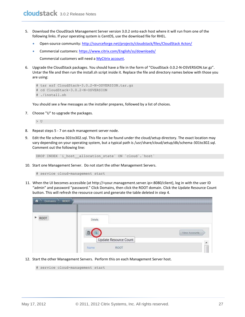- <span id="page-26-1"></span>5. Download the CloudStack Management Server version 3.0.2 onto each host where it will run from one of the following links. If your operating system is CentOS, use the download file for RHEL.
	- Open-source community: [http://sourceforge.net/projects/cloudstack/files/CloudStack Acton/](http://sourceforge.net/projects/cloudstack/files/CloudStack%20Acton/)
	- Commercial customers: <https://www.citrix.com/English/ss/downloads/>

Commercial customers will need a [MyCitrix account.](http://www.citrix.com/lang/English/publicindex.asp?destURL=%2FEnglish%2FmyCitrix%2Findex.asp%3F)

6. Upgrade the CloudStack packages. You should have a file in the form of "CloudStack-3.0.2-N-OSVERSION.tar.gz". Untar the file and then run the install.sh script inside it. Replace the file and directory names below with those you are using:

```
# tar xzf CloudStack-3.0.2-N-OSVERSION.tar.gz
# cd CloudStack-3.0.2-N-OSVERSION
# ./install.sh
```
You should see a few messages as the installer prepares, followed by a list of choices.

<span id="page-26-2"></span>7. Choose "U" to upgrade the packages.

 $>$  U

- 8. Repeat step[s 5](#page-26-1) [7](#page-26-2) on each management server node.
- 9. Edit the file schema-301to302.sql. This file can be found under the cloud/setup directory. The exact location may vary depending on your operating system, but a typical path is /usr/share/cloud/setup/db/schema-301to302.sql. Comment out the following line:

DROP INDEX `i host \_allocation\_state` ON `cloud`.`host`

10. Start one Management Server. Do not start the other Management Servers.

# service cloud-management start

<span id="page-26-0"></span>11. When the UI becomes accessible (at http://<your.management.server.ip>:8080/client), log in with the user ID "admin" and password "password." Click Domains, then click the ROOT domain. Click the Update Resource Count button. This will refresh the resource count and generate the table deleted in step [4.](#page-25-3)

| ROOT<br>背<br><b>Domains</b> |                       |               |
|-----------------------------|-----------------------|---------------|
|                             |                       |               |
| ROOT                        | Details               |               |
|                             |                       | View Accounts |
|                             | Update Resource Count |               |
|                             | ROOT<br>Name:         |               |

12. Start the other Management Servers. Perform this on each Management Server host.

# service cloud-management start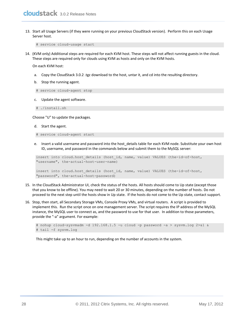13. Start all Usage Servers (if they were running on your previous CloudStack version). Perform this on each Usage Server host.

# service cloud-usage start

14. (KVM only) Additional steps are required for each KVM host. These steps will not affect running guests in the cloud. These steps are required only for clouds using KVM as hosts and only on the KVM hosts.

On each KVM host:

- a. Copy the CloudStack 3.0.2 .tgz download to the host, untar it, and cd into the resulting directory.
- b. Stop the running agent.

# service cloud-agent stop

- c. Update the agent software.
- # ./install.sh

Choose "U" to update the packages.

d. Start the agent.

# service cloud-agent start

e. Insert a valid username and password into the host details table for each KVM node. Substitute your own host ID, username, and password in the commands below and submit them to the MySQL server:

```
insert into cloud.host details (host id, name, value) VALUES (the-id-of-host,
"username", the-actual-host-user-name)
insert into cloud.host details (host id, name, value) VALUES (the-id-of-host,
"password", the-actual-host-password)
```
- 15. In the CloudStack Administrator UI, check the status of the hosts. All hosts should come to Up state (except those that you know to be offline). You may need to wait 20 or 30 minutes, depending on the number of hosts. Do not proceed to the next step until the hosts show in Up state. If the hosts do not come to the Up state, contact support.
- 16. Stop, then start, all Secondary Storage VMs, Console Proxy VMs, and virtual routers. A script is provided to implement this. Run the script once on one management server. The script requires the IP address of the MySQL instance, the MySQL user to connect as, and the password to use for that user. In addition to those parameters, provide the "-a" argument. For example:

```
# nohup cloud-sysvmadm -d 192.168.1.5 -u cloud -p password -a > sysvm.log 2>&1 &
# tail -f sysvm.log
```
This might take up to an hour to run, depending on the number of accounts in the system.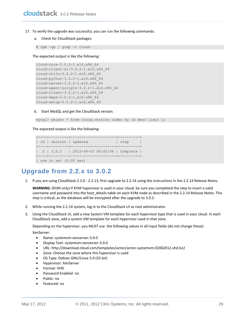- 17. To verify the upgrade was successful, you can run the following commands.
	- a. Check for CloudStack packages.
	- # rpm -qa | grep -i cloud

The expected output is like the following:

```
cloud-core-3.0.2-1.el6.x86_64
cloud-client-ui-3.0.2-1.el6.x86_64
cloud-utils-3.0.2-1.el6.x86_64
cloud-python-3.0.2-1.el6.x86_64
cloud-server-3.0.2-1.el6.x86_64
cloud-agent-scripts-3.0.2-1.el6.x86_64
cloud-client-3.0.2-1.el6.x86_64
cloud-deps-3.0.2-1.el6.x86_64
cloud-setup-3.0.2-1.el6.x86_64
```
b. Start MySQL and get the CloudStack version.

mysql> select \* from cloud.version order by id desc limit 1;

The expected output is like the following:

```
+----+---------+---------------------+----------+
| id | version | updated | step | |
+----+---------+---------------------+----------+
| 2 | 3.0.2 | 2012-04-23 06:42:06 | Complete |
  +----+---------+---------------------+----------+
1 row in set (0.00 sec)
```
### <span id="page-28-0"></span>**Upgrade from 2.2.x to 3.0.2**

1. If you are using CloudStack 2.2.0 - 2.2.13, first upgrade to 2.2.14 using the instructions in the 2.2.14 Release Notes.

**WARNING:** (KVM only) If KVM hypervisor is used in your cloud, be sure you completed the step to insert a valid username and password into the host details table on each KVM node as described in the 2.2.14 Release Notes. This step is critical, as the database will be encrypted after the upgrade to 3.0.2.

- 2. While running the 2.2.14 system, log in to the CloudStack UI as root administrator.
- 3. Using the CloudStack UI, add a new System VM template for each hypervisor type that is used in your cloud. In each CloudStack zone, add a system VM template for each hypervisor used in that zone.

Depending on the hypervisor, you MUST use the following values in all input fields (do not change these):

XenServer:

- Name: systemvm-xenserver-3.0.0
- Display Text: systemvm-xenserver-3.0.0
- URL: [http://download.cloud.com/templates/acton/acton-systemvm-0](http://download.cloud.com/templates/acton/acton-systemvm-)2062012.vhd.bz2
- Zone: Choose the zone where this hypervisor is used
- OS Type: Debian GNU/Linux 5.0 (32-bit)
- Hypervisor: XenServer
- Format: VHD
- Password Enabled: no
- Public: no
- Featured: no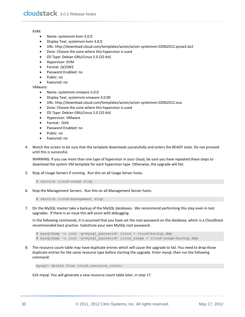KVM:

- Name: systemvm-kvm-3.0.0
- Display Text: systemvm-kvm-3.0.0
- URL: http://download.cloud.com/templates/acton/acton-systemvm-02062012.qcow2.bz2
- Zone: Choose the zone where this hypervisor is used
- OS Type: Debian GNU/Linux 5.0 (32-bit)
- Hypervisor: KVM
- Format: QCOW2
- Password Enabled: no
- Public: no
- Featured: no

VMware:

- Name: systemvm-vmware-3.0.0
- Display Text: systemvm-vmware-3.0.00
- URL: http://download.cloud.com/templates/acton/acton-systemvm-02062012.ova
- Zone: Choose the zone where this hypervisor is used
- OS Type: Debian GNU/Linux 5.0 (32-bit)
- Hypervisor: VMware
- Format: OVA
- Password Enabled: no
- Public: no
- Featured: no
- 4. Watch the screen to be sure that the template downloads successfully and enters the READY state. Do not proceed until this is successful.

WARNING: If you use more than one type of hypervisor in your cloud, be sure you have repeated these steps to download the system VM template for each hypervisor type. Otherwise, the upgrade will fail.

5. Stop all Usage Servers if running. Run this on all Usage Server hosts.

# service cloud-usage stop

6. Stop the Management Servers. Run this on all Management Server hosts.

# service cloud-management stop

7. On the MySQL master take a backup of the MySQL databases. We recommend performing this step even in test upgrades. If there is an issue this will assist with debugging.

In the following commands, it is assumed that you have set the root password on the database, which is a CloudStack recommended best practice. Substitute your own MySQL root password.

```
# mysqldump -u root -p<mysql_password> cloud > cloud-backup.dmp
# mysqldump -u root -p<mysql password> cloud usage > cloud-usage-backup.dmp
```
<span id="page-29-0"></span>8. The resource count table may have duplicate entries which will cause the upgrade to fail. You need to drop those duplicate entries for the same resource type before starting the upgrade. Enter mysql, then run the following command:

mysql> delete from cloud.resource\_count;

Exit mysql. You will generate a new resource count table later, in step [17.](#page-31-0)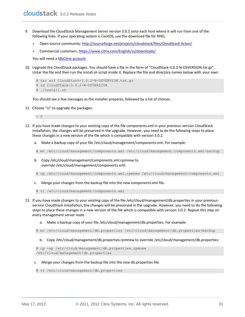- <span id="page-30-0"></span>9. Download the CloudStack Management Server version 3.0.2 onto each host where it will run from one of the following links. If your operating system is CentOS, use the download file for RHEL.
	- Open-source community: [http://sourceforge.net/projects/cloudstack/files/CloudStack Acton/](http://sourceforge.net/projects/cloudstack/files/CloudStack%20Acton/)
	- Commercial customers: <https://www.citrix.com/English/ss/downloads/>

You will need a **MyCitrix account**.

10. Upgrade the CloudStack packages. You should have a file in the form of "CloudStack-3.0.2-N-OSVERSION.tar.gz". Untar the file and then run the install.sh script inside it. Replace the file and directory names below with your own:

```
# tar xzf CloudStack-3.0.2-N-OSVERSION.tar.gz
# cd CloudStack-3.0.2-N-OSVERSION
# ./install.sh
```
You should see a few messages as the installer prepares, followed by a list of choices.

11. Choose "U" to upgrade the packages.

 $> \;$  U

- 12. If you have made changes to your existing copy of the file components.xml in your previous-version CloudStack installation, the changes will be preserved in the upgrade. However, you need to do the following steps to place these changes in a new version of the file which is compatible with version 3.0.2.
	- a. Make a backup copy of your file /etc/cloud/management/components.xml. For example:

# mv /etc/cloud/management/components.xml /etc/cloud/management/components.xml-backup

- b. Copy /etc/cloud/management/components.xml.rpmnew to override /etc/cloud/management/components.xml:
- # cp /etc/cloud/management/components.xml.rpmnew /etc/cloud/management/components.xml
- c. Merge your changes from the backup file into the new components.xml file.
- # vi /etc/cloud/management/components.xml
- 13. If you have made changes to your existing copy of the file /etc/cloud/management/db.properties in your previousversion CloudStack installation, the changes will be preserved in the upgrade. However, you need to do the following steps to place these changes in a new version of the file which is compatible with version 3.0.2. Repeat this step on every management server node.
	- a. Make a backup copy of your file /etc/cloud/management/db.properties. For example:
	- # mv /etc/cloud/management/db.properties /etc/cloud/management/db.properties-backup
		- b. Copy /etc/cloud/management/db.properties.rpmnew to override /etc/cloud/management/db.properties:

# cp -ap /etc/cloud/management/db.properties.rpmnew /etc/cloud/management/db.properties

- c. Merge your changes from the backup file into the new db.properties file.
- # vi /etc/cloud/management/db.properties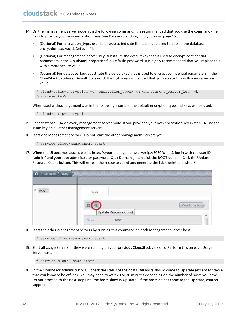- <span id="page-31-1"></span>14. On the management server node, run the following command. It is recommended that you use the command-line flags to provide your own encryption keys. See [Password and Key Encryption](#page-14-0) on pag[e 15.](#page-14-0)
	- (Optional) For encryption\_type, use file or web to indicate the technique used to pass in the database encryption password. Default: file.
	- (Optional) For management server key, substitute the default key that is used to encrypt confidential parameters in the CloudStack properties file. Default: password. It is highly recommended that you replace this with a more secure value.
	- (Optional) For database\_key, substitute the default key that is used to encrypt confidential parameters in the CloudStack database. Default: password. It is highly recommended that you replace this with a more secure value.

```
# cloud-setup-encryption -e <encryption type> -m <management server key> -k
<database_key>
```
When used without arguments, as in the following example, the default encryption type and keys will be used:

# cloud-setup-encryption

- 15. Repeat step[s 9](#page-30-0) [14](#page-31-1) on every management server node. If you provided your own encryption key in step [14,](#page-31-1) use the same key on all other management servers.
- 16. Start one Management Server. Do not start the other Management Servers yet.

# service cloud-management start

<span id="page-31-0"></span>17. When the UI becomes accessible (at http://<your.management.server.ip>:8080/client), log in with the user ID "admin" and your root administrator password. Click Domains, then click the ROOT domain. Click the Update Resource Count button. This will refresh the resource count and generate the table deleted in step [8.](#page-29-0)

| ROOT<br><b>Domains</b><br>ñ |                       |               |
|-----------------------------|-----------------------|---------------|
|                             |                       |               |
| ROOT                        | Details               |               |
|                             |                       |               |
|                             |                       | View Accounts |
|                             | Update Resource Count | $\mathbf{z}$  |
|                             | ROOT<br>Name:         |               |

18. Start the other Management Servers by running this command on each Management Server host:

```
# service cloud-management start
```
19. Start all Usage Servers (if they were running on your previous CloudStack version). Perform this on each Usage Server host.

# service cloud-usage start

20. In the CloudStack Administrator UI, check the status of the hosts. All hosts should come to Up state (except for those that you know to be offline). You may need to wait 20 or 30 minutes depending on the number of hosts you have. Do not proceed to the next step until the hosts show in Up state. If the hosts do not come to the Up state, contact support.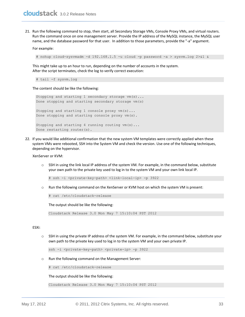21. Run the following command to stop, then start, all Secondary Storage VMs, Console Proxy VMs, and virtual routers. Run the command once on one management server. Provide the IP address of the MySQL instance, the MySQL user name, and the database password for that user. In addition to those parameters, provide the "-a" argument.

For example:

# nohup cloud-sysvmadm -d 192.168.1.5 -u cloud -p password -a > sysvm.log 2>&1 &

This might take up to an hour to run, depending on the number of accounts in the system. After the script terminates, check the log to verify correct execution:

# tail -f sysvm.log

The content should be like the following:

```
Stopping and starting 1 secondary storage vm(s)...
Done stopping and starting secondary storage vm(s)
Stopping and starting 1 console proxy vm(s)...
Done stopping and starting console proxy vm(s).
Stopping and starting 4 running routing vm(s)...
Done restarting router(s).
```
22. If you would like additional confirmation that the new system VM templates were correctly applied when these system VMs were rebooted, SSH into the System VM and check the version. Use one of the following techniques, depending on the hypervisor.

XenServer or KVM:

o SSH in using the link local IP address of the system VM. For example, in the command below, substitute your own path to the private key used to log in to the system VM and your own link local IP.

# ssh -i <private-key-path> <link-local-ip> -p 3922

o Run the following command on the XenServer or KVM host on which the system VM is present:

# cat /etc/cloudstack-release

The output should be like the following:

Cloudstack Release 3.0 Mon May 7 15:10:04 PST 2012

#### ESXi:

o SSH in using the private IP address of the system VM. For example, in the command below, substitute your own path to the private key used to log in to the system VM and your own private IP.

ssh -i <private-key-path> <private-ip> -p 3922

o Run the following command on the Management Server:

# cat /etc/cloudstack-release

The output should be like the following:

```
Cloudstack Release 3.0 Mon May 7 15:10:04 PST 2012
```